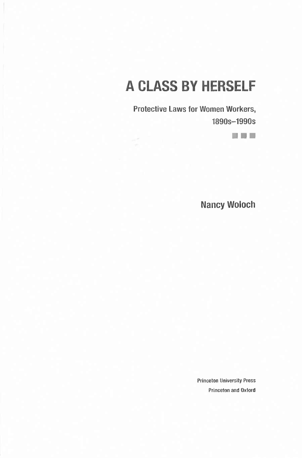# A CLASS BY HERSELF

**Protective Laws for Women Workers, 1890s-1990s**

■ ■ ■

**Nancy Woloch**

**Princeton University Press Princeton and Oxford**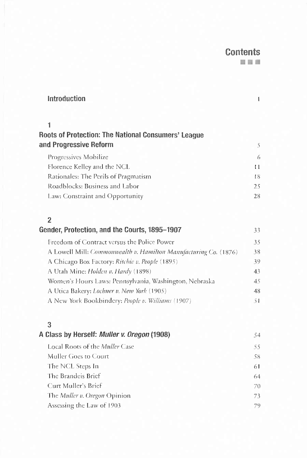## **Contents** ■ ■■

| <b>Introduction</b>                                        |    |
|------------------------------------------------------------|----|
|                                                            |    |
| <b>Roots of Protection: The National Consumers' League</b> |    |
| and Progressive Reform                                     | 5  |
| Progressives Mobilize                                      | 6  |
| Florence Kelley and the NCL                                | 11 |
| Rationales: The Perils of Pragmatism                       | 18 |
| Roadblocks: Business and Labor                             | 25 |
| Law: Constraint and Opportunity                            | 28 |

## **2**

| Gender, Protection, and the Courts, 1895-1907                    | 33. |
|------------------------------------------------------------------|-----|
| Freedom of Contract versus the Police Power                      | 35  |
| A Lowell Mill: Commonwealth v. Hamilton Manufacturing Co. (1876) | 38  |
| A Chicago Box Factory: <i>Ritchie v. People</i> (1895)           | 39. |
| A Utah Mine: Holden v. Hardy (1898)                              | 43  |
| Women's Hours Laws: Pennsylvania, Washington, Nebraska           | 45  |
| A Utica Bakery: Lochner v. New York (1905)                       | 48  |
| A New York Bookbindery: People v. Williams (1907)                | 5 I |

## **3**

| A Class by Herself: <i>Muller v. Oregon</i> (1908) | 54. |
|----------------------------------------------------|-----|
| Local Roots of the <i>Muller</i> Case              | 55  |
| Muller Goes to Court                               | -58 |
| The NCL Steps In                                   | 61  |
| The Brandeis Brief                                 | 64  |
| Curt Muller's Brief                                | 70  |
| The Muller v. Oregon Opinion                       | 73  |
| Assessing the Law of 1903                          | 79  |
|                                                    |     |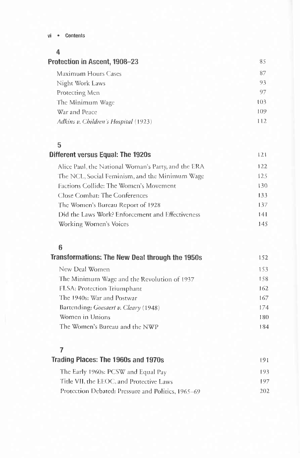#### Contents  $vi -$

### 4

| Protection in Ascent, 1908-23        | 85  |
|--------------------------------------|-----|
| Maximum Hours Cases                  | 87  |
| Night Work Laws                      | 93  |
| Protecting Men                       | 97  |
| The Minimum Wage                     | 103 |
| War and Peace                        | 109 |
| Adkins v. Children's Hospital (1923) | 112 |
|                                      |     |

## $\overline{5}$

 $121\,$ 

| <b>Different versus Equal: The 1920s</b>            | 121 |
|-----------------------------------------------------|-----|
| Alice Paul, the National Woman's Party, and the ERA | 122 |
| The NCL, Social Feminism, and the Minimum Wage      | 125 |
| Factions Collide: The Women's Movement              | 130 |
| Close Combat: The Conferences                       | 133 |
| The Women's Bureau Report of 1928                   | 137 |
| Did the Laws Work? Enforcement and Effectiveness    | 141 |
| Working Women's Voices                              | 145 |

## $\overline{\bf{6}}$

| Transformations: The New Deal through the 1950s | 152  |
|-------------------------------------------------|------|
| New Deal Women                                  | 1.53 |
| The Minimum Wage and the Revolution of 1937     | 158. |
| FLSA: Protection Triumphant                     | 162  |
| The 1940s: War and Postwar                      | 167  |
| Bartending: Goesaert v. Cleary (1948)           | 174  |
| Women in Unions                                 | 180  |
| The Women's Bureau and the NWP                  | 184  |

## $\overline{7}$

| Trading Places: The 1960s and 1970s                | 191. |
|----------------------------------------------------|------|
| The Early 1960s: PCSW and Equal Pay                | 193  |
| Title VII, the EEOC, and Protective Laws           | 197  |
| Protection Debated: Pressure and Politics, 1965–69 | 202. |